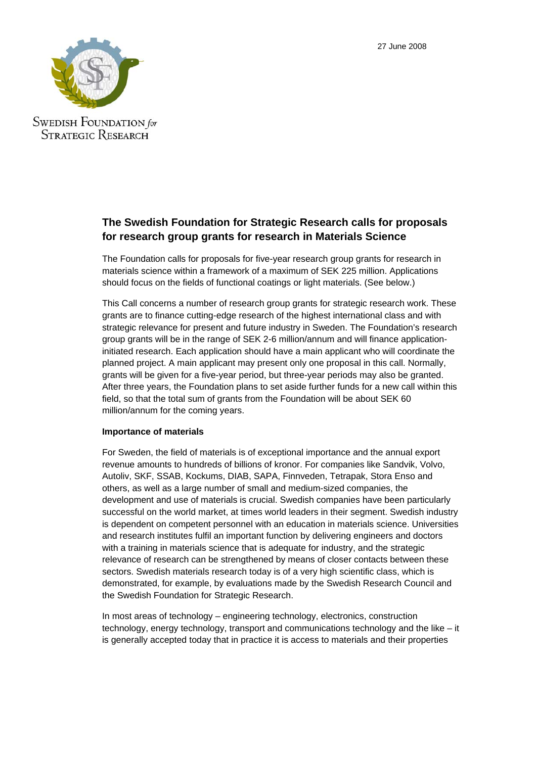27 June 2008



**SWEDISH FOUNDATION** for **STRATEGIC RESEARCH** 

# **The Swedish Foundation for Strategic Research calls for proposals for research group grants for research in Materials Science**

The Foundation calls for proposals for five-year research group grants for research in materials science within a framework of a maximum of SEK 225 million. Applications should focus on the fields of functional coatings or light materials. (See below.)

This Call concerns a number of research group grants for strategic research work. These grants are to finance cutting-edge research of the highest international class and with strategic relevance for present and future industry in Sweden. The Foundation's research group grants will be in the range of SEK 2-6 million/annum and will finance applicationinitiated research. Each application should have a main applicant who will coordinate the planned project. A main applicant may present only one proposal in this call. Normally, grants will be given for a five-year period, but three-year periods may also be granted. After three years, the Foundation plans to set aside further funds for a new call within this field, so that the total sum of grants from the Foundation will be about SEK 60 million/annum for the coming years.

# **Importance of materials**

For Sweden, the field of materials is of exceptional importance and the annual export revenue amounts to hundreds of billions of kronor. For companies like Sandvik, Volvo, Autoliv, SKF, SSAB, Kockums, DIAB, SAPA, Finnveden, Tetrapak, Stora Enso and others, as well as a large number of small and medium-sized companies, the development and use of materials is crucial. Swedish companies have been particularly successful on the world market, at times world leaders in their segment. Swedish industry is dependent on competent personnel with an education in materials science. Universities and research institutes fulfil an important function by delivering engineers and doctors with a training in materials science that is adequate for industry, and the strategic relevance of research can be strengthened by means of closer contacts between these sectors. Swedish materials research today is of a very high scientific class, which is demonstrated, for example, by evaluations made by the Swedish Research Council and the Swedish Foundation for Strategic Research.

In most areas of technology – engineering technology, electronics, construction technology, energy technology, transport and communications technology and the like – it is generally accepted today that in practice it is access to materials and their properties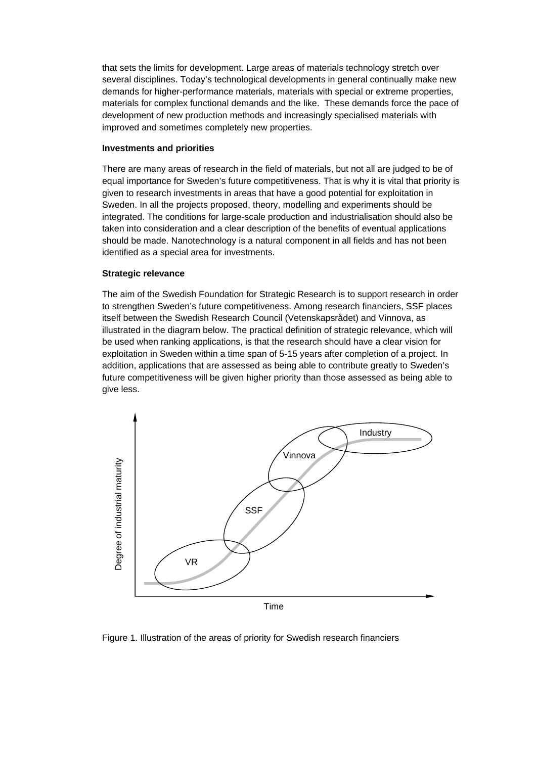that sets the limits for development. Large areas of materials technology stretch over several disciplines. Today's technological developments in general continually make new demands for higher-performance materials, materials with special or extreme properties, materials for complex functional demands and the like. These demands force the pace of development of new production methods and increasingly specialised materials with improved and sometimes completely new properties.

#### **Investments and priorities**

There are many areas of research in the field of materials, but not all are judged to be of equal importance for Sweden's future competitiveness. That is why it is vital that priority is given to research investments in areas that have a good potential for exploitation in Sweden. In all the projects proposed, theory, modelling and experiments should be integrated. The conditions for large-scale production and industrialisation should also be taken into consideration and a clear description of the benefits of eventual applications should be made. Nanotechnology is a natural component in all fields and has not been identified as a special area for investments.

# **Strategic relevance**

The aim of the Swedish Foundation for Strategic Research is to support research in order to strengthen Sweden's future competitiveness. Among research financiers, SSF places itself between the Swedish Research Council (Vetenskapsrådet) and Vinnova, as illustrated in the diagram below. The practical definition of strategic relevance, which will be used when ranking applications, is that the research should have a clear vision for exploitation in Sweden within a time span of 5-15 years after completion of a project. In addition, applications that are assessed as being able to contribute greatly to Sweden's future competitiveness will be given higher priority than those assessed as being able to give less.



Figure 1. Illustration of the areas of priority for Swedish research financiers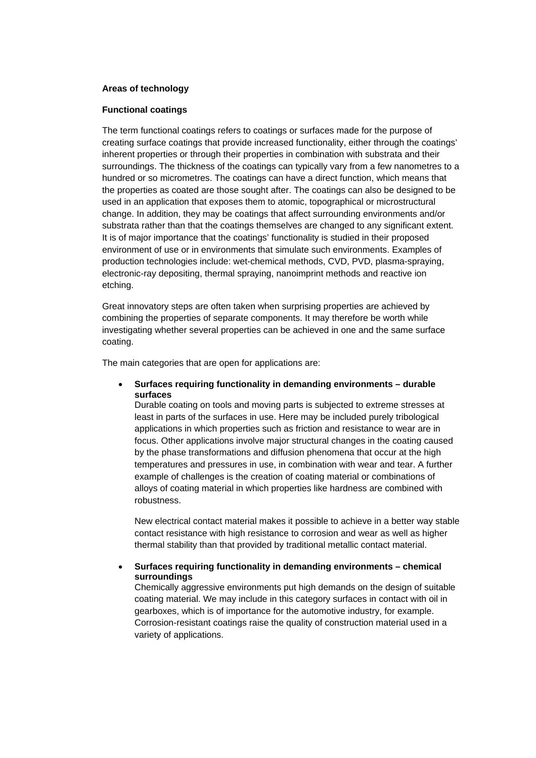# **Areas of technology**

#### **Functional coatings**

The term functional coatings refers to coatings or surfaces made for the purpose of creating surface coatings that provide increased functionality, either through the coatings' inherent properties or through their properties in combination with substrata and their surroundings. The thickness of the coatings can typically vary from a few nanometres to a hundred or so micrometres. The coatings can have a direct function, which means that the properties as coated are those sought after. The coatings can also be designed to be used in an application that exposes them to atomic, topographical or microstructural change. In addition, they may be coatings that affect surrounding environments and/or substrata rather than that the coatings themselves are changed to any significant extent. It is of major importance that the coatings' functionality is studied in their proposed environment of use or in environments that simulate such environments. Examples of production technologies include: wet-chemical methods, CVD, PVD, plasma-spraying, electronic-ray depositing, thermal spraying, nanoimprint methods and reactive ion etching.

Great innovatory steps are often taken when surprising properties are achieved by combining the properties of separate components. It may therefore be worth while investigating whether several properties can be achieved in one and the same surface coating.

The main categories that are open for applications are:

• **Surfaces requiring functionality in demanding environments – durable surfaces** 

Durable coating on tools and moving parts is subjected to extreme stresses at least in parts of the surfaces in use. Here may be included purely tribological applications in which properties such as friction and resistance to wear are in focus. Other applications involve major structural changes in the coating caused by the phase transformations and diffusion phenomena that occur at the high temperatures and pressures in use, in combination with wear and tear. A further example of challenges is the creation of coating material or combinations of alloys of coating material in which properties like hardness are combined with robustness.

New electrical contact material makes it possible to achieve in a better way stable contact resistance with high resistance to corrosion and wear as well as higher thermal stability than that provided by traditional metallic contact material.

• **Surfaces requiring functionality in demanding environments – chemical surroundings** 

Chemically aggressive environments put high demands on the design of suitable coating material. We may include in this category surfaces in contact with oil in gearboxes, which is of importance for the automotive industry, for example. Corrosion-resistant coatings raise the quality of construction material used in a variety of applications.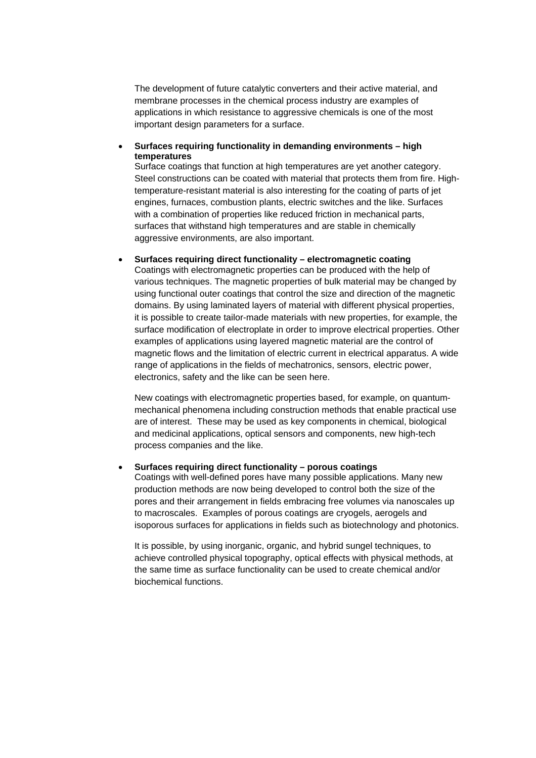The development of future catalytic converters and their active material, and membrane processes in the chemical process industry are examples of applications in which resistance to aggressive chemicals is one of the most important design parameters for a surface.

• **Surfaces requiring functionality in demanding environments – high temperatures** 

Surface coatings that function at high temperatures are yet another category. Steel constructions can be coated with material that protects them from fire. Hightemperature-resistant material is also interesting for the coating of parts of jet engines, furnaces, combustion plants, electric switches and the like. Surfaces with a combination of properties like reduced friction in mechanical parts, surfaces that withstand high temperatures and are stable in chemically aggressive environments, are also important.

• **Surfaces requiring direct functionality – electromagnetic coating** 

Coatings with electromagnetic properties can be produced with the help of various techniques. The magnetic properties of bulk material may be changed by using functional outer coatings that control the size and direction of the magnetic domains. By using laminated layers of material with different physical properties, it is possible to create tailor-made materials with new properties, for example, the surface modification of electroplate in order to improve electrical properties. Other examples of applications using layered magnetic material are the control of magnetic flows and the limitation of electric current in electrical apparatus. A wide range of applications in the fields of mechatronics, sensors, electric power, electronics, safety and the like can be seen here.

New coatings with electromagnetic properties based, for example, on quantummechanical phenomena including construction methods that enable practical use are of interest. These may be used as key components in chemical, biological and medicinal applications, optical sensors and components, new high-tech process companies and the like.

• **Surfaces requiring direct functionality – porous coatings** 

Coatings with well-defined pores have many possible applications. Many new production methods are now being developed to control both the size of the pores and their arrangement in fields embracing free volumes via nanoscales up to macroscales. Examples of porous coatings are cryogels, aerogels and isoporous surfaces for applications in fields such as biotechnology and photonics.

It is possible, by using inorganic, organic, and hybrid sungel techniques, to achieve controlled physical topography, optical effects with physical methods, at the same time as surface functionality can be used to create chemical and/or biochemical functions.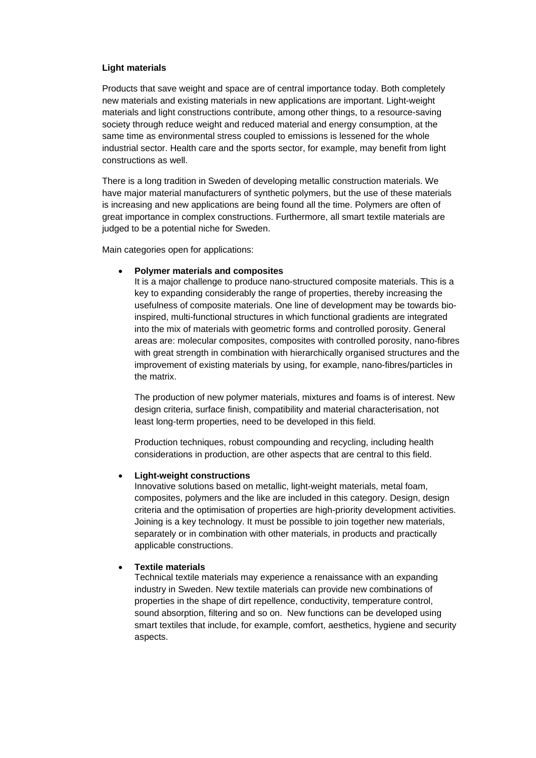# **Light materials**

Products that save weight and space are of central importance today. Both completely new materials and existing materials in new applications are important. Light-weight materials and light constructions contribute, among other things, to a resource-saving society through reduce weight and reduced material and energy consumption, at the same time as environmental stress coupled to emissions is lessened for the whole industrial sector. Health care and the sports sector, for example, may benefit from light constructions as well.

There is a long tradition in Sweden of developing metallic construction materials. We have major material manufacturers of synthetic polymers, but the use of these materials is increasing and new applications are being found all the time. Polymers are often of great importance in complex constructions. Furthermore, all smart textile materials are judged to be a potential niche for Sweden.

Main categories open for applications:

# • **Polymer materials and composites**

It is a major challenge to produce nano-structured composite materials. This is a key to expanding considerably the range of properties, thereby increasing the usefulness of composite materials. One line of development may be towards bioinspired, multi-functional structures in which functional gradients are integrated into the mix of materials with geometric forms and controlled porosity. General areas are: molecular composites, composites with controlled porosity, nano-fibres with great strength in combination with hierarchically organised structures and the improvement of existing materials by using, for example, nano-fibres/particles in the matrix.

The production of new polymer materials, mixtures and foams is of interest. New design criteria, surface finish, compatibility and material characterisation, not least long-term properties, need to be developed in this field.

Production techniques, robust compounding and recycling, including health considerations in production, are other aspects that are central to this field.

#### • **Light-weight constructions**

Innovative solutions based on metallic, light-weight materials, metal foam, composites, polymers and the like are included in this category. Design, design criteria and the optimisation of properties are high-priority development activities. Joining is a key technology. It must be possible to join together new materials, separately or in combination with other materials, in products and practically applicable constructions.

#### • **Textile materials**

Technical textile materials may experience a renaissance with an expanding industry in Sweden. New textile materials can provide new combinations of properties in the shape of dirt repellence, conductivity, temperature control, sound absorption, filtering and so on. New functions can be developed using smart textiles that include, for example, comfort, aesthetics, hygiene and security aspects.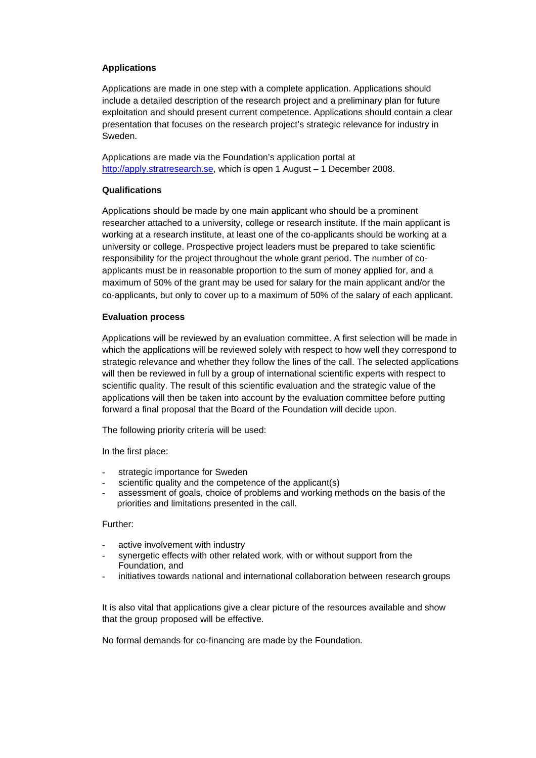# **Applications**

Applications are made in one step with a complete application. Applications should include a detailed description of the research project and a preliminary plan for future exploitation and should present current competence. Applications should contain a clear presentation that focuses on the research project's strategic relevance for industry in Sweden.

Applications are made via the Foundation's application portal at http://apply.stratresearch.se, which is open 1 August – 1 December 2008.

# **Qualifications**

Applications should be made by one main applicant who should be a prominent researcher attached to a university, college or research institute. If the main applicant is working at a research institute, at least one of the co-applicants should be working at a university or college. Prospective project leaders must be prepared to take scientific responsibility for the project throughout the whole grant period. The number of coapplicants must be in reasonable proportion to the sum of money applied for, and a maximum of 50% of the grant may be used for salary for the main applicant and/or the co-applicants, but only to cover up to a maximum of 50% of the salary of each applicant.

# **Evaluation process**

Applications will be reviewed by an evaluation committee. A first selection will be made in which the applications will be reviewed solely with respect to how well they correspond to strategic relevance and whether they follow the lines of the call. The selected applications will then be reviewed in full by a group of international scientific experts with respect to scientific quality. The result of this scientific evaluation and the strategic value of the applications will then be taken into account by the evaluation committee before putting forward a final proposal that the Board of the Foundation will decide upon.

The following priority criteria will be used:

In the first place:

- strategic importance for Sweden
- scientific quality and the competence of the applicant(s)
- assessment of goals, choice of problems and working methods on the basis of the priorities and limitations presented in the call.

#### Further:

- active involvement with industry
- synergetic effects with other related work, with or without support from the Foundation, and
- initiatives towards national and international collaboration between research groups

It is also vital that applications give a clear picture of the resources available and show that the group proposed will be effective.

No formal demands for co-financing are made by the Foundation.